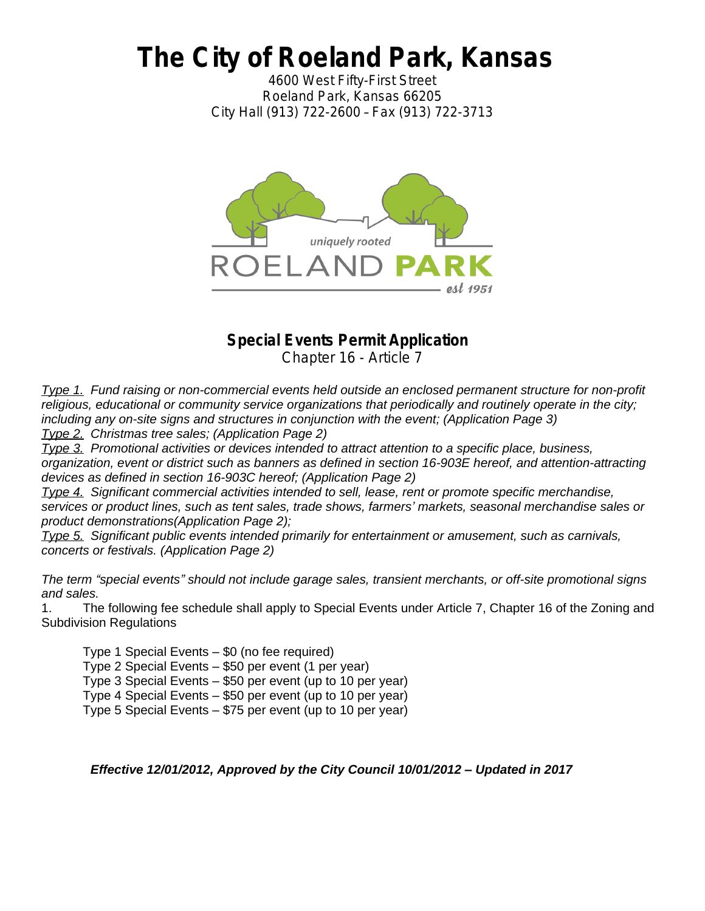# *The City of Roeland Park, Kansas*

*4600 West Fifty-First Street Roeland Park, Kansas 66205 City Hall (913) 722-2600* – *Fax (913) 722-3713*



## **Special Events Permit Application**

Chapter 16 - Article 7

*Type 1. Fund raising or non-commercial events held outside an enclosed permanent structure for non-profit*  religious, educational or community service organizations that periodically and routinely operate in the city; *including any on-site signs and structures in conjunction with the event; (Application Page 3) Type 2. Christmas tree sales; (Application Page 2)*

*Type 3. Promotional activities or devices intended to attract attention to a specific place, business,* 

*organization, event or district such as banners as defined in section 16-903E hereof, and attention-attracting devices as defined in section 16-903C hereof; (Application Page 2)*

*Type 4. Significant commercial activities intended to sell, lease, rent or promote specific merchandise, services or product lines, such as tent sales, trade shows, farmers' markets, seasonal merchandise sales or product demonstrations(Application Page 2);*

*Type 5. Significant public events intended primarily for entertainment or amusement, such as carnivals, concerts or festivals. (Application Page 2)*

*The term "special events" should not include garage sales, transient merchants, or off-site promotional signs and sales.*

1. The following fee schedule shall apply to Special Events under Article 7, Chapter 16 of the Zoning and Subdivision Regulations

Type 1 Special Events – \$0 (no fee required)

Type 2 Special Events – \$50 per event (1 per year)

Type 3 Special Events – \$50 per event (up to 10 per year)

Type 4 Special Events – \$50 per event (up to 10 per year)

Type 5 Special Events – \$75 per event (up to 10 per year)

*Effective 12/01/2012, Approved by the City Council 10/01/2012 – Updated in 2017*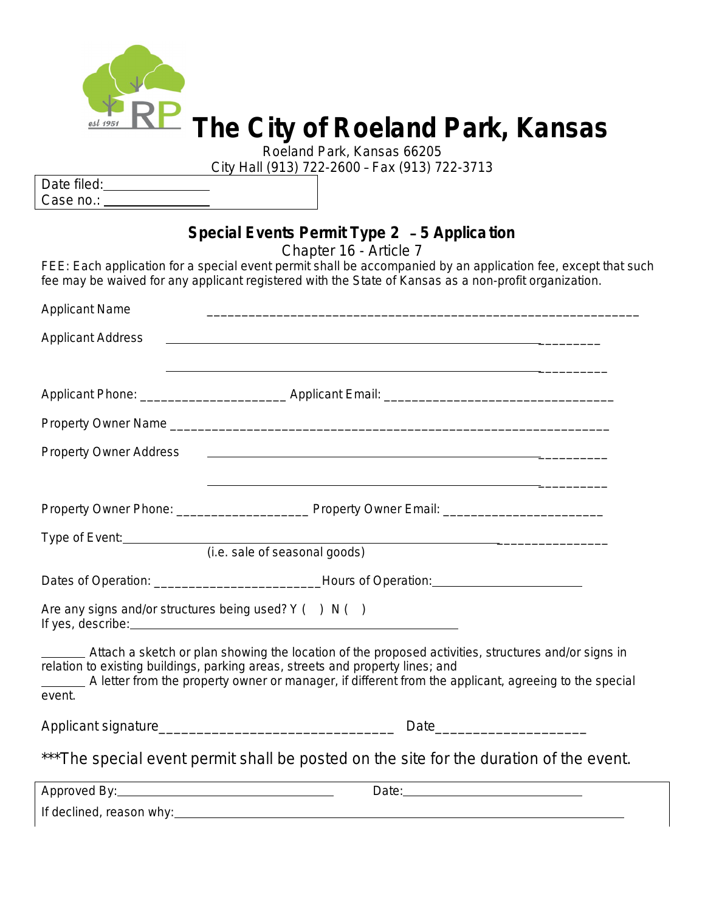

# *The City of Roeland Park, Kansas*

*Roeland Park, Kansas 66205*

*City Hall (913) 722-2600* – *Fax (913) 722-3713*

| Date filed: |  |
|-------------|--|
| Case no.:   |  |

# **Special Events Permit Type 2** – **5 Applica tion**

Chapter 16 - Article 7

FEE: Each application for a special event permit shall be accompanied by an application fee, except that such fee may be waived for any applicant registered with the State of Kansas as a non-profit organization.

| <b>Applicant Name</b>         |                                                                                                                                                                                                                                                                                                |
|-------------------------------|------------------------------------------------------------------------------------------------------------------------------------------------------------------------------------------------------------------------------------------------------------------------------------------------|
| <b>Applicant Address</b>      | <u> 1989 - Johann Stoff, amerikansk politiker (d. 1989)</u>                                                                                                                                                                                                                                    |
|                               |                                                                                                                                                                                                                                                                                                |
|                               |                                                                                                                                                                                                                                                                                                |
|                               |                                                                                                                                                                                                                                                                                                |
| <b>Property Owner Address</b> | <u> 1999 - Johann Stoff, amerikansk politiker (d. 1989)</u>                                                                                                                                                                                                                                    |
|                               | <u> 1989 - John Stone, amerikansk politiker (* 1908)</u>                                                                                                                                                                                                                                       |
|                               |                                                                                                                                                                                                                                                                                                |
|                               | Type of Event:<br>(i.e. sale of seasonal goods)                                                                                                                                                                                                                                                |
|                               |                                                                                                                                                                                                                                                                                                |
|                               | Dates of Operation: ________________________________Hours of Operation: ____________________________                                                                                                                                                                                           |
|                               | Are any signs and/or structures being used? $Y( ) N( )$                                                                                                                                                                                                                                        |
| event.                        | Attach a sketch or plan showing the location of the proposed activities, structures and/or signs in<br>relation to existing buildings, parking areas, streets and property lines; and<br>A letter from the property owner or manager, if different from the applicant, agreeing to the special |
|                               |                                                                                                                                                                                                                                                                                                |
|                               | *** The special event permit shall be posted on the site for the duration of the event.                                                                                                                                                                                                        |
|                               |                                                                                                                                                                                                                                                                                                |

If declined, reason why: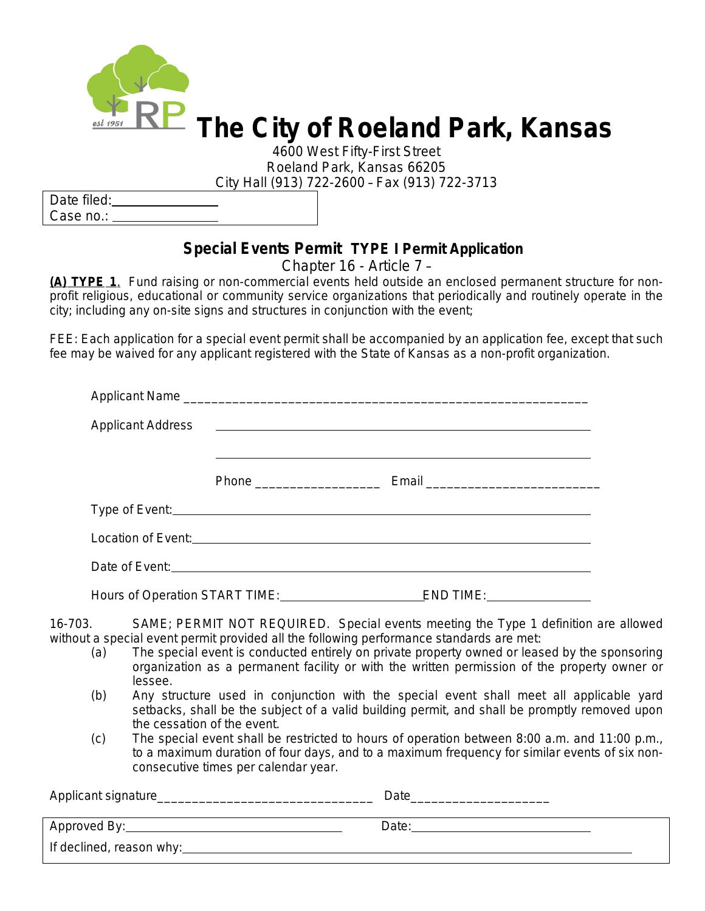

*4600 West Fifty-First Street Roeland Park, Kansas 66205 City Hall (913) 722-2600* – *Fax (913) 722-3713*

Date filed: Case no.:

## **Special Events Permit TYPE I Permit Application**

Chapter 16 - Article 7 –

**(A) TYPE 1**. Fund raising or non-commercial events held outside an enclosed permanent structure for nonprofit religious, educational or community service organizations that periodically and routinely operate in the city; including any on-site signs and structures in conjunction with the event;

FEE: Each application for a special event permit shall be accompanied by an application fee, except that such fee may be waived for any applicant registered with the State of Kansas as a non-profit organization.

|  |  | Applicant Name |  |
|--|--|----------------|--|
|  |  |                |  |
|  |  |                |  |
|  |  |                |  |
|  |  |                |  |
|  |  |                |  |
|  |  |                |  |
|  |  |                |  |

16-703. SAME; PERMIT NOT REQUIRED. Special events meeting the Type 1 definition are allowed without a special event permit provided all the following performance standards are met:

- (a) The special event is conducted entirely on private property owned or leased by the sponsoring organization as a permanent facility or with the written permission of the property owner or lessee.
- (b) Any structure used in conjunction with the special event shall meet all applicable yard setbacks, shall be the subject of a valid building permit, and shall be promptly removed upon the cessation of the event.
- (c) The special event shall be restricted to hours of operation between 8:00 a.m. and 11:00 p.m., to a maximum duration of four days, and to a maximum frequency for similar events of six nonconsecutive times per calendar year.

| Applicant signature_ | Date  |
|----------------------|-------|
|                      | Date: |
|                      |       |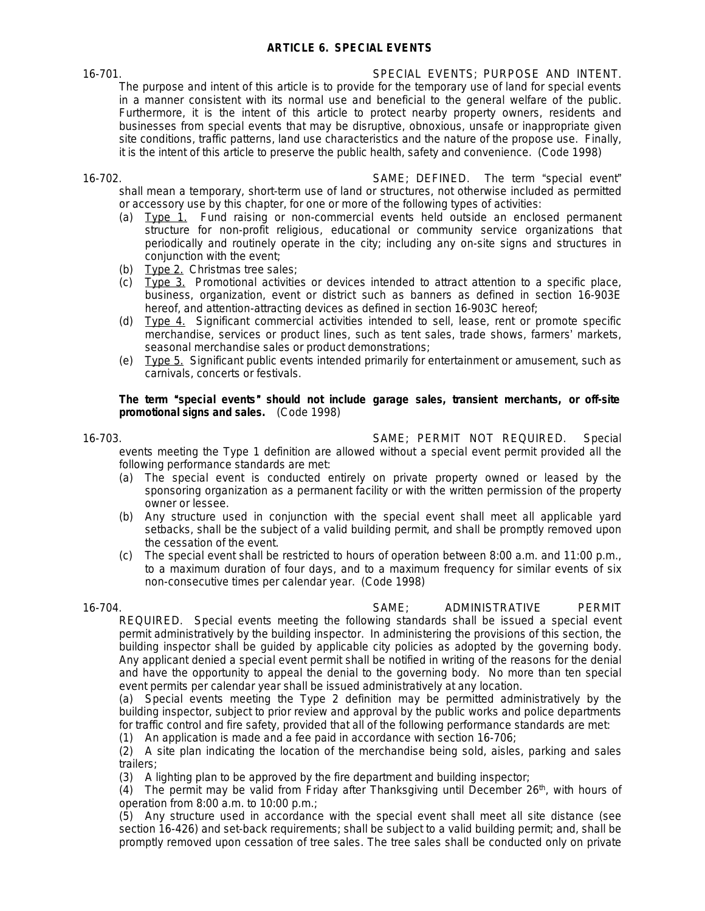## **ARTICLE 6. SPECIAL EVENTS**

16-701. SPECIAL EVENTS; PURPOSE AND INTENT. The purpose and intent of this article is to provide for the temporary use of land for special events in a manner consistent with its normal use and beneficial to the general welfare of the public. Furthermore, it is the intent of this article to protect nearby property owners, residents and businesses from special events that may be disruptive, obnoxious, unsafe or inappropriate given site conditions, traffic patterns, land use characteristics and the nature of the propose use. Finally, it is the intent of this article to preserve the public health, safety and convenience. (Code 1998)

16-702. SAME; DEFINED. The term "special event" shall mean a temporary, short-term use of land or structures, not otherwise included as permitted or accessory use by this chapter, for one or more of the following types of activities:

- (a) Type 1. Fund raising or non-commercial events held outside an enclosed permanent structure for non-profit religious, educational or community service organizations that periodically and routinely operate in the city; including any on-site signs and structures in conjunction with the event;
- (b) Type 2. Christmas tree sales;
- (c) Type 3. Promotional activities or devices intended to attract attention to a specific place, business, organization, event or district such as banners as defined in section 16-903E hereof, and attention-attracting devices as defined in section 16-903C hereof;
- (d) Type 4. Significant commercial activities intended to sell, lease, rent or promote specific merchandise, services or product lines, such as tent sales, trade shows, farmers' markets, seasonal merchandise sales or product demonstrations;
- (e) Type 5. Significant public events intended primarily for entertainment or amusement, such as carnivals, concerts or festivals.

### *The term* "*special events*" *should not include garage sales, transient merchants, or off-site promotional signs and sales.* (Code 1998)

16-703. SAME; PERMIT NOT REQUIRED. Special

events meeting the Type 1 definition are allowed without a special event permit provided all the following performance standards are met:

- (a) The special event is conducted entirely on private property owned or leased by the sponsoring organization as a permanent facility or with the written permission of the property owner or lessee.
- (b) Any structure used in conjunction with the special event shall meet all applicable yard setbacks, shall be the subject of a valid building permit, and shall be promptly removed upon the cessation of the event.
- (c) The special event shall be restricted to hours of operation between 8:00 a.m. and 11:00 p.m., to a maximum duration of four days, and to a maximum frequency for similar events of six non-consecutive times per calendar year. (Code 1998)

16-704. SAME; ADMINISTRATIVE PERMIT

REQUIRED. Special events meeting the following standards shall be issued a special event permit administratively by the building inspector. In administering the provisions of this section, the building inspector shall be guided by applicable city policies as adopted by the governing body. Any applicant denied a special event permit shall be notified in writing of the reasons for the denial and have the opportunity to appeal the denial to the governing body. No more than ten special event permits per calendar year shall be issued administratively at any location.

(a) Special events meeting the Type 2 definition may be permitted administratively by the building inspector, subject to prior review and approval by the public works and police departments for traffic control and fire safety, provided that all of the following performance standards are met:

(1) An application is made and a fee paid in accordance with section 16-706;

(2) A site plan indicating the location of the merchandise being sold, aisles, parking and sales trailers;

(3) A lighting plan to be approved by the fire department and building inspector;

 $(4)$  The permit may be valid from Friday after Thanksgiving until December 26<sup>th</sup>, with hours of operation from 8:00 a.m. to 10:00 p.m.;

(5) Any structure used in accordance with the special event shall meet all site distance (see section 16-426) and set-back requirements; shall be subject to a valid building permit; and, shall be promptly removed upon cessation of tree sales. The tree sales shall be conducted only on private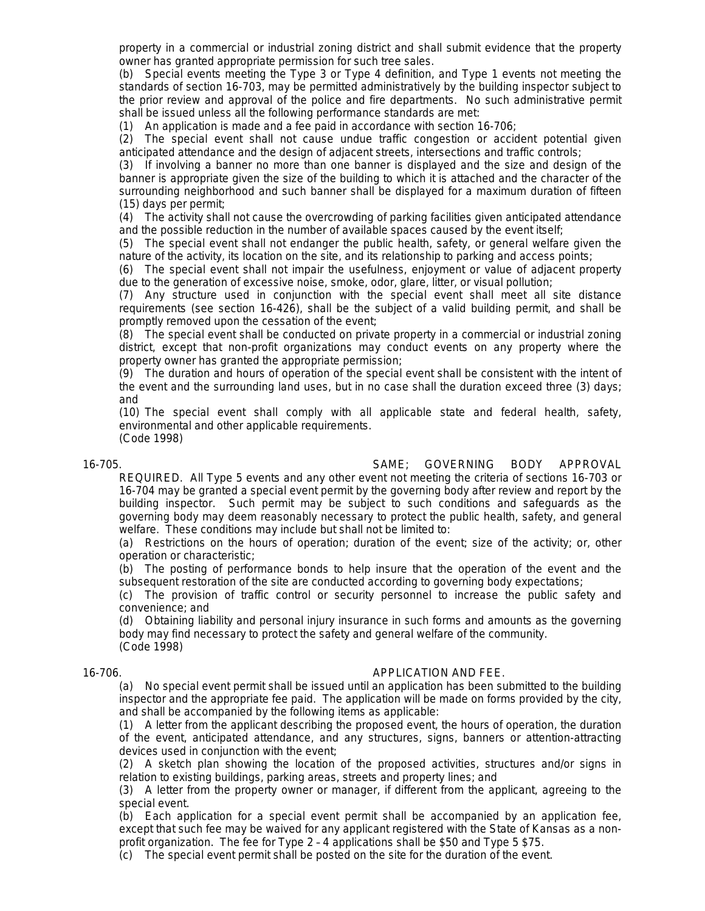property in a commercial or industrial zoning district and shall submit evidence that the property owner has granted appropriate permission for such tree sales.

(b) Special events meeting the Type 3 or Type 4 definition, and Type 1 events not meeting the standards of section 16-703, may be permitted administratively by the building inspector subject to the prior review and approval of the police and fire departments. No such administrative permit shall be issued unless all the following performance standards are met:

(1) An application is made and a fee paid in accordance with section 16-706;

(2) The special event shall not cause undue traffic congestion or accident potential given anticipated attendance and the design of adjacent streets, intersections and traffic controls;

(3) If involving a banner no more than one banner is displayed and the size and design of the banner is appropriate given the size of the building to which it is attached and the character of the surrounding neighborhood and such banner shall be displayed for a maximum duration of fifteen (15) days per permit;

(4) The activity shall not cause the overcrowding of parking facilities given anticipated attendance and the possible reduction in the number of available spaces caused by the event itself;

(5) The special event shall not endanger the public health, safety, or general welfare given the nature of the activity, its location on the site, and its relationship to parking and access points;

(6) The special event shall not impair the usefulness, enjoyment or value of adjacent property due to the generation of excessive noise, smoke, odor, glare, litter, or visual pollution;

(7) Any structure used in conjunction with the special event shall meet all site distance requirements (see section 16-426), shall be the subject of a valid building permit, and shall be promptly removed upon the cessation of the event;

(8) The special event shall be conducted on private property in a commercial or industrial zoning district, except that non-profit organizations may conduct events on any property where the property owner has granted the appropriate permission;

(9) The duration and hours of operation of the special event shall be consistent with the intent of the event and the surrounding land uses, but in no case shall the duration exceed three (3) days; and

(10) The special event shall comply with all applicable state and federal health, safety, environmental and other applicable requirements. (Code 1998)

16-705. SAME; GOVERNING BODY APPROVAL

REQUIRED. All Type 5 events and any other event not meeting the criteria of sections 16-703 or 16-704 may be granted a special event permit by the governing body after review and report by the building inspector. Such permit may be subject to such conditions and safeguards as the governing body may deem reasonably necessary to protect the public health, safety, and general welfare. These conditions may include but shall not be limited to:

(a) Restrictions on the hours of operation; duration of the event; size of the activity; or, other operation or characteristic;

(b) The posting of performance bonds to help insure that the operation of the event and the subsequent restoration of the site are conducted according to governing body expectations;

(c) The provision of traffic control or security personnel to increase the public safety and convenience; and

(d) Obtaining liability and personal injury insurance in such forms and amounts as the governing body may find necessary to protect the safety and general welfare of the community. (Code 1998)

### 16-706. APPLICATION AND FEE.

(a) No special event permit shall be issued until an application has been submitted to the building inspector and the appropriate fee paid. The application will be made on forms provided by the city, and shall be accompanied by the following items as applicable:

(1) A letter from the applicant describing the proposed event, the hours of operation, the duration of the event, anticipated attendance, and any structures, signs, banners or attention-attracting devices used in conjunction with the event;

(2) A sketch plan showing the location of the proposed activities, structures and/or signs in relation to existing buildings, parking areas, streets and property lines; and

(3) A letter from the property owner or manager, if different from the applicant, agreeing to the special event.

(b) Each application for a special event permit shall be accompanied by an application fee, except that such fee may be waived for any applicant registered with the State of Kansas as a nonprofit organization. The fee for Type 2 – 4 applications shall be \$50 and Type 5 \$75.

(c) The special event permit shall be posted on the site for the duration of the event.